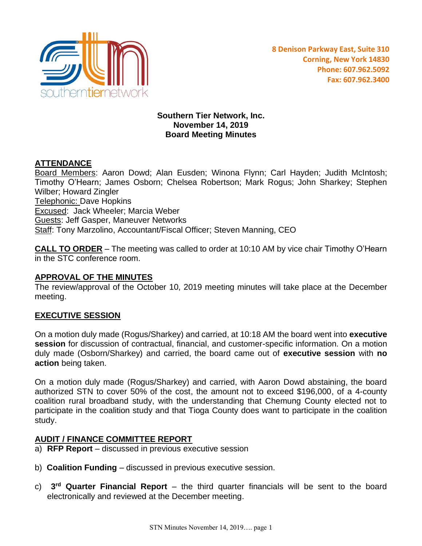

**Southern Tier Network, Inc. November 14, 2019 Board Meeting Minutes**

# **ATTENDANCE**

Board Members: Aaron Dowd; Alan Eusden; Winona Flynn; Carl Hayden; Judith McIntosh; Timothy O'Hearn; James Osborn; Chelsea Robertson; Mark Rogus; John Sharkey; Stephen Wilber; Howard Zingler Telephonic: Dave Hopkins Excused: Jack Wheeler; Marcia Weber Guests: Jeff Gasper, Maneuver Networks Staff: Tony Marzolino, Accountant/Fiscal Officer; Steven Manning, CEO

**CALL TO ORDER** – The meeting was called to order at 10:10 AM by vice chair Timothy O'Hearn in the STC conference room.

### **APPROVAL OF THE MINUTES**

The review/approval of the October 10, 2019 meeting minutes will take place at the December meeting.

### **EXECUTIVE SESSION**

On a motion duly made (Rogus/Sharkey) and carried, at 10:18 AM the board went into **executive session** for discussion of contractual, financial, and customer-specific information. On a motion duly made (Osborn/Sharkey) and carried, the board came out of **executive session** with **no action** being taken.

On a motion duly made (Rogus/Sharkey) and carried, with Aaron Dowd abstaining, the board authorized STN to cover 50% of the cost, the amount not to exceed \$196,000, of a 4-county coalition rural broadband study, with the understanding that Chemung County elected not to participate in the coalition study and that Tioga County does want to participate in the coalition study.

### **AUDIT / FINANCE COMMITTEE REPORT**

- a) **RFP Report** discussed in previous executive session
- b) **Coalition Funding** discussed in previous executive session.
- c) **3 rd Quarter Financial Report** the third quarter financials will be sent to the board electronically and reviewed at the December meeting.